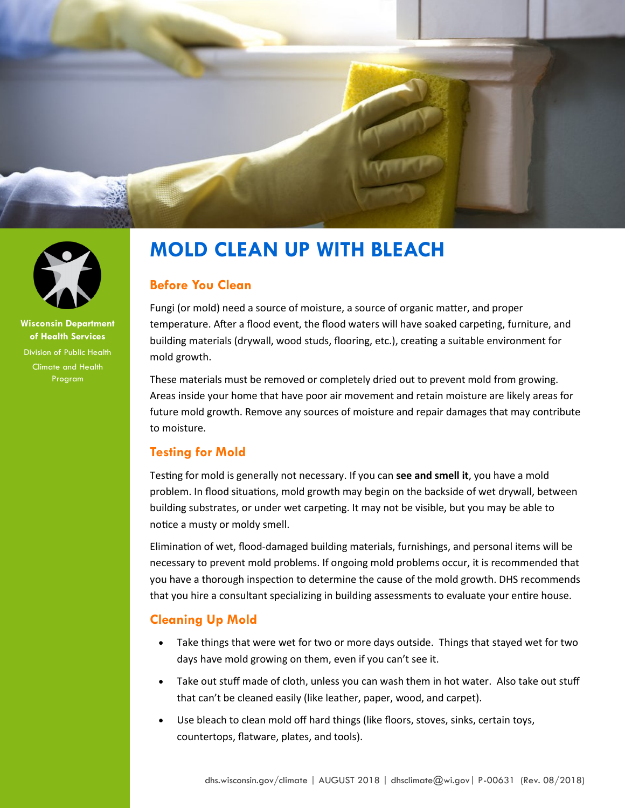



**Wisconsin Department of Health Services** Division of Public Health Climate and Health Program

# **MOLD CLEAN UP WITH BLEACH**

## **Before You Clean**

Fungi (or mold) need a source of moisture, a source of organic matter, and proper temperature. After a flood event, the flood waters will have soaked carpeting, furniture, and building materials (drywall, wood studs, flooring, etc.), creating a suitable environment for mold growth.

These materials must be removed or completely dried out to prevent mold from growing. Areas inside your home that have poor air movement and retain moisture are likely areas for future mold growth. Remove any sources of moisture and repair damages that may contribute to moisture.

# **Testing for Mold**

Testing for mold is generally not necessary. If you can **see and smell it**, you have a mold problem. In flood situations, mold growth may begin on the backside of wet drywall, between building substrates, or under wet carpeting. It may not be visible, but you may be able to notice a musty or moldy smell.

Elimination of wet, flood-damaged building materials, furnishings, and personal items will be necessary to prevent mold problems. If ongoing mold problems occur, it is recommended that you have a thorough inspection to determine the cause of the mold growth. DHS recommends that you hire a consultant specializing in building assessments to evaluate your entire house.

# **Cleaning Up Mold**

- Take things that were wet for two or more days outside. Things that stayed wet for two days have mold growing on them, even if you can't see it.
- Take out stuff made of cloth, unless you can wash them in hot water. Also take out stuff that can't be cleaned easily (like leather, paper, wood, and carpet).
- Use bleach to clean mold off hard things (like floors, stoves, sinks, certain toys, countertops, flatware, plates, and tools).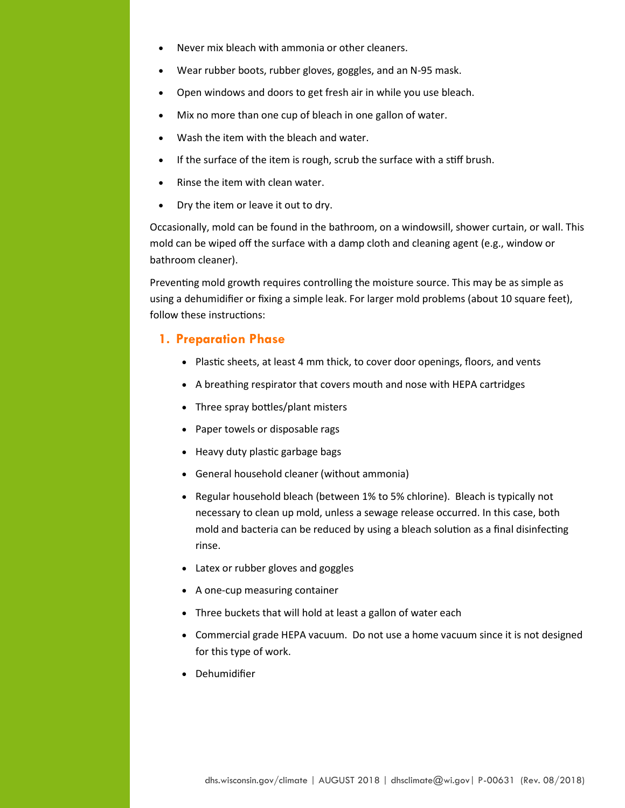- Never mix bleach with ammonia or other cleaners.
- Wear rubber boots, rubber gloves, goggles, and an N-95 mask.
- Open windows and doors to get fresh air in while you use bleach.
- Mix no more than one cup of bleach in one gallon of water.
- Wash the item with the bleach and water.
- If the surface of the item is rough, scrub the surface with a stiff brush.
- Rinse the item with clean water.
- Dry the item or leave it out to dry.

Occasionally, mold can be found in the bathroom, on a windowsill, shower curtain, or wall. This mold can be wiped off the surface with a damp cloth and cleaning agent (e.g., window or bathroom cleaner).

Preventing mold growth requires controlling the moisture source. This may be as simple as using a dehumidifier or fixing a simple leak. For larger mold problems (about 10 square feet), follow these instructions:

#### **1. Preparation Phase**

- Plastic sheets, at least 4 mm thick, to cover door openings, floors, and vents
- A breathing respirator that covers mouth and nose with HEPA cartridges
- Three spray bottles/plant misters
- Paper towels or disposable rags
- Heavy duty plastic garbage bags
- General household cleaner (without ammonia)
- Regular household bleach (between 1% to 5% chlorine). Bleach is typically not necessary to clean up mold, unless a sewage release occurred. In this case, both mold and bacteria can be reduced by using a bleach solution as a final disinfecting rinse.
- Latex or rubber gloves and goggles
- A one-cup measuring container
- Three buckets that will hold at least a gallon of water each
- Commercial grade HEPA vacuum. Do not use a home vacuum since it is not designed for this type of work.
- Dehumidifier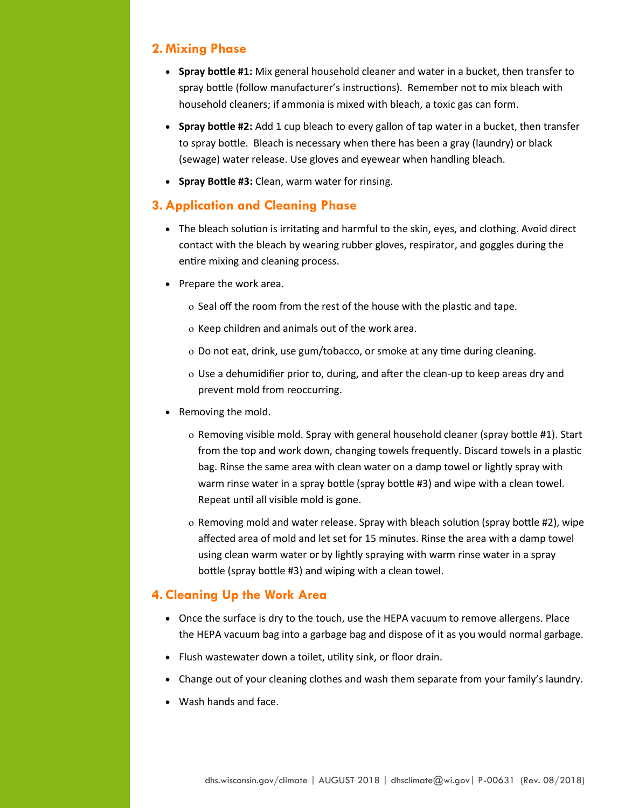## **2. Mixing Phase**

- **Spray bottle #1:** Mix general household cleaner and water in a bucket, then transfer to spray bottle (follow manufacturer's instructions). Remember not to mix bleach with household cleaners; if ammonia is mixed with bleach, a toxic gas can form.
- **Spray bottle #2:** Add 1 cup bleach to every gallon of tap water in a bucket, then transfer to spray bottle. Bleach is necessary when there has been a gray (laundry) or black (sewage) water release. Use gloves and eyewear when handling bleach.
- **Spray Bottle #3:** Clean, warm water for rinsing.

## **3.Application and Cleaning Phase**

- The bleach solution is irritating and harmful to the skin, eyes, and clothing. Avoid direct contact with the bleach by wearing rubber gloves, respirator, and goggles during the entire mixing and cleaning process.
- Prepare the work area.
	- o Seal off the room from the rest of the house with the plastic and tape.
	- o Keep children and animals out of the work area.
	- Do not eat, drink, use gum/tobacco, or smoke at any time during cleaning.
	- Use a dehumidifier prior to, during, and after the clean-up to keep areas dry and prevent mold from reoccurring.
- Removing the mold.
	- Removing visible mold. Spray with general household cleaner (spray bottle #1). Start from the top and work down, changing towels frequently. Discard towels in a plastic bag. Rinse the same area with clean water on a damp towel or lightly spray with warm rinse water in a spray bottle (spray bottle #3) and wipe with a clean towel. Repeat until all visible mold is gone.
	- $\circ$  Removing mold and water release. Spray with bleach solution (spray bottle #2), wipe affected area of mold and let set for 15 minutes. Rinse the area with a damp towel using clean warm water or by lightly spraying with warm rinse water in a spray bottle (spray bottle #3) and wiping with a clean towel.

## **4. Cleaning Up the Work Area**

- Once the surface is dry to the touch, use the HEPA vacuum to remove allergens. Place the HEPA vacuum bag into a garbage bag and dispose of it as you would normal garbage.
- Flush wastewater down a toilet, utility sink, or floor drain.
- Change out of your cleaning clothes and wash them separate from your family's laundry.
- Wash hands and face.